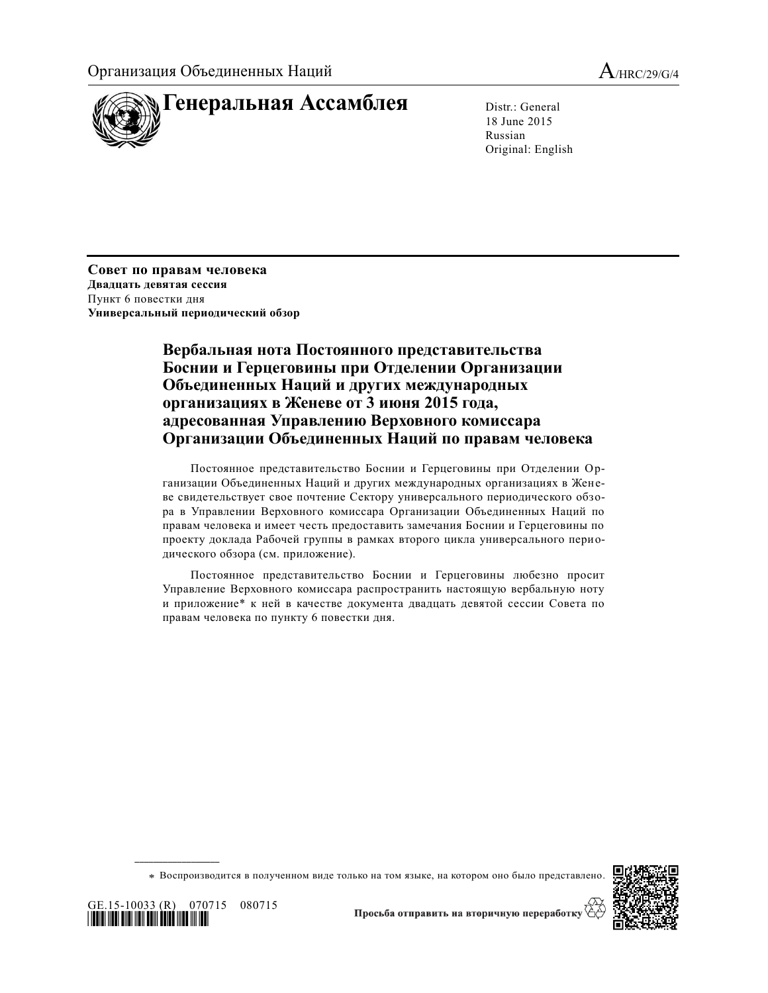

18 June 2015 Russian Original: English

**Совет по правам человека Двадцать девятая сессия** Пункт 6 повестки дня **Универсальный периодический обзор**

> **Вербальная нота Постоянного представительства Боснии и Герцеговины при Отделении Организации Объединенных Наций и других международных организациях в Женеве от 3 июня 2015 года, адресованная Управлению Верховного комиссара Организации Объединенных Наций по правам человека**

Постоянное представительство Боснии и Герцеговины при Отделении Организации Объединенных Наций и других международных организациях в Женеве свидетельствует свое почтение Сектору универсального периодического обзора в Управлении Верховного комиссара Организации Объединенных Наций по правам человека и имеет честь предоставить замечания Боснии и Герцеговины по проекту доклада Рабочей группы в рамках второго цикла универсального периодического обзора (см. приложение).

Постоянное представительство Боснии и Герцеговины любезно просит Управление Верховного комиссара распространить настоящую вербальную ноту и приложение\* к ней в качестве документа двадцать девятой сессии Совета по правам человека по пункту 6 повестки дня.

\* Воспроизводится в полученном виде только на том языке, на котором оно было представлено.



GE.15-10033 (R) 070715 080715 \*1510033\*

**\_\_\_\_\_\_\_\_\_\_\_\_\_\_\_\_\_\_**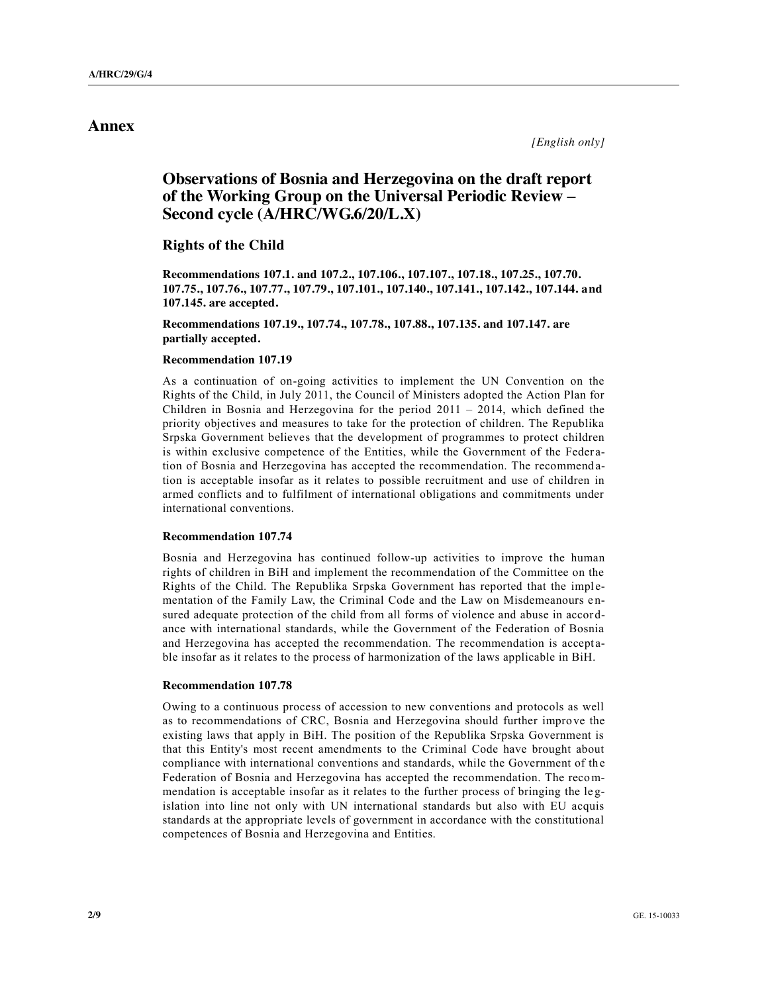# **Annex**

# **Observations of Bosnia and Herzegovina on the draft report of the Working Group on the Universal Periodic Review – Second cycle (A/HRC/WG.6/20/L.X)**

### **Rights of the Child**

**Recommendations 107.1. and 107.2., 107.106., 107.107., 107.18., 107.25., 107.70. 107.75., 107.76., 107.77., 107.79., 107.101., 107.140., 107.141., 107.142., 107.144. and 107.145. are accepted.**

**Recommendations 107.19., 107.74., 107.78., 107.88., 107.135. and 107.147. are partially accepted.**

#### **Recommendation 107.19**

As a continuation of on-going activities to implement the UN Convention on the Rights of the Child, in July 2011, the Council of Ministers adopted the Action Plan for Children in Bosnia and Herzegovina for the period  $2011 - 2014$ , which defined the priority objectives and measures to take for the protection of children. The Republika Srpska Government believes that the development of programmes to protect children is within exclusive competence of the Entities, while the Government of the Feder ation of Bosnia and Herzegovina has accepted the recommendation. The recommend ation is acceptable insofar as it relates to possible recruitment and use of children in armed conflicts and to fulfilment of international obligations and commitments under international conventions.

#### **Recommendation 107.74**

Bosnia and Herzegovina has continued follow-up activities to improve the human rights of children in BiH and implement the recommendation of the Committee on the Rights of the Child. The Republika Srpska Government has reported that the implementation of the Family Law, the Criminal Code and the Law on Misdemeanours e nsured adequate protection of the child from all forms of violence and abuse in accordance with international standards, while the Government of the Federation of Bosnia and Herzegovina has accepted the recommendation. The recommendation is acceptable insofar as it relates to the process of harmonization of the laws applicable in BiH.

#### **Recommendation 107.78**

Owing to a continuous process of accession to new conventions and protocols as well as to recommendations of CRC, Bosnia and Herzegovina should further improve the existing laws that apply in BiH. The position of the Republika Srpska Government is that this Entity's most recent amendments to the Criminal Code have brought about compliance with international conventions and standards, while the Government of th e Federation of Bosnia and Herzegovina has accepted the recommendation. The recommendation is acceptable insofar as it relates to the further process of bringing the legislation into line not only with UN international standards but also with EU acquis standards at the appropriate levels of government in accordance with the constitutional competences of Bosnia and Herzegovina and Entities.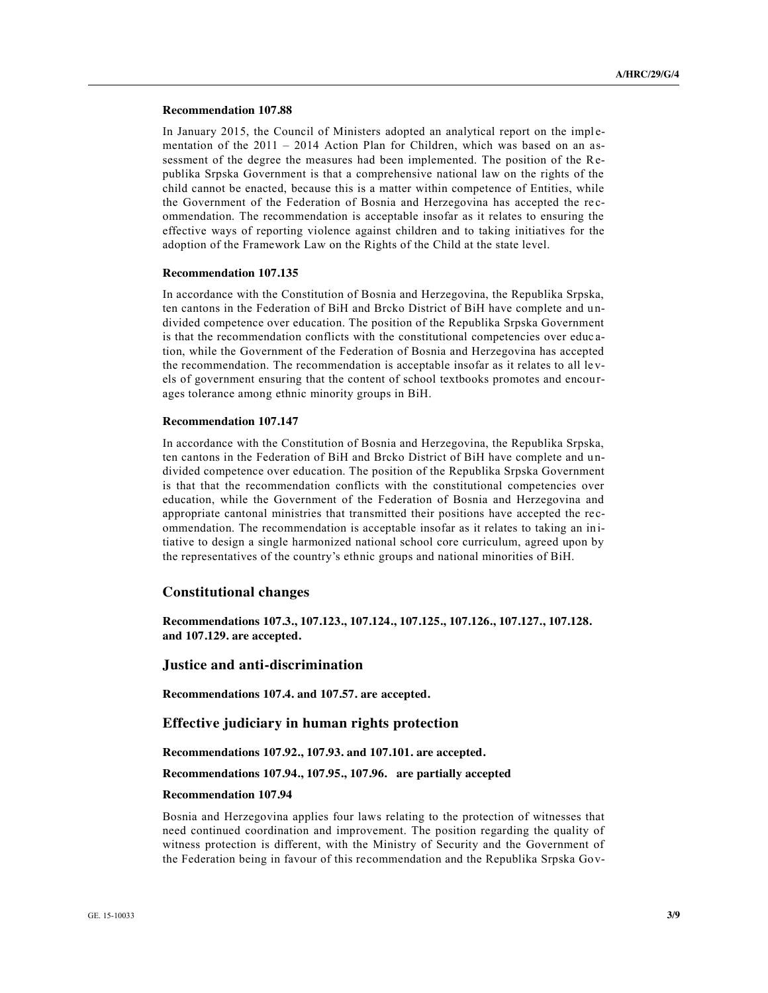#### **Recommendation 107.88**

In January 2015, the Council of Ministers adopted an analytical report on the implementation of the 2011 – 2014 Action Plan for Children, which was based on an assessment of the degree the measures had been implemented. The position of the Republika Srpska Government is that a comprehensive national law on the rights of the child cannot be enacted, because this is a matter within competence of Entities, while the Government of the Federation of Bosnia and Herzegovina has accepted the re commendation. The recommendation is acceptable insofar as it relates to ensuring the effective ways of reporting violence against children and to taking initiatives for the adoption of the Framework Law on the Rights of the Child at the state level.

#### **Recommendation 107.135**

In accordance with the Constitution of Bosnia and Herzegovina, the Republika Srpska, ten cantons in the Federation of BiH and Brcko District of BiH have complete and undivided competence over education. The position of the Republika Srpska Government is that the recommendation conflicts with the constitutional competencies over educ ation, while the Government of the Federation of Bosnia and Herzegovina has accepted the recommendation. The recommendation is acceptable insofar as it relates to all le vels of government ensuring that the content of school textbooks promotes and encou rages tolerance among ethnic minority groups in BiH.

#### **Recommendation 107.147**

In accordance with the Constitution of Bosnia and Herzegovina, the Republika Srpska, ten cantons in the Federation of BiH and Brcko District of BiH have complete and u ndivided competence over education. The position of the Republika Srpska Government is that that the recommendation conflicts with the constitutional competencies over education, while the Government of the Federation of Bosnia and Herzegovina and appropriate cantonal ministries that transmitted their positions have accepted the recommendation. The recommendation is acceptable insofar as it relates to taking an in itiative to design a single harmonized national school core curriculum, agreed upon by the representatives of the country's ethnic groups and national minorities of BiH.

# **Constitutional changes**

**Recommendations 107.3., 107.123., 107.124., 107.125., 107.126., 107.127., 107.128. and 107.129. are accepted.** 

#### **Justice and anti-discrimination**

**Recommendations 107.4. and 107.57. are accepted.**

## **Effective judiciary in human rights protection**

#### **Recommendations 107.92., 107.93. and 107.101. are accepted.**

**Recommendations 107.94., 107.95., 107.96. are partially accepted**

#### **Recommendation 107.94**

Bosnia and Herzegovina applies four laws relating to the protection of witnesses that need continued coordination and improvement. The position regarding the quality of witness protection is different, with the Ministry of Security and the Government of the Federation being in favour of this recommendation and the Republika Srpska Gov-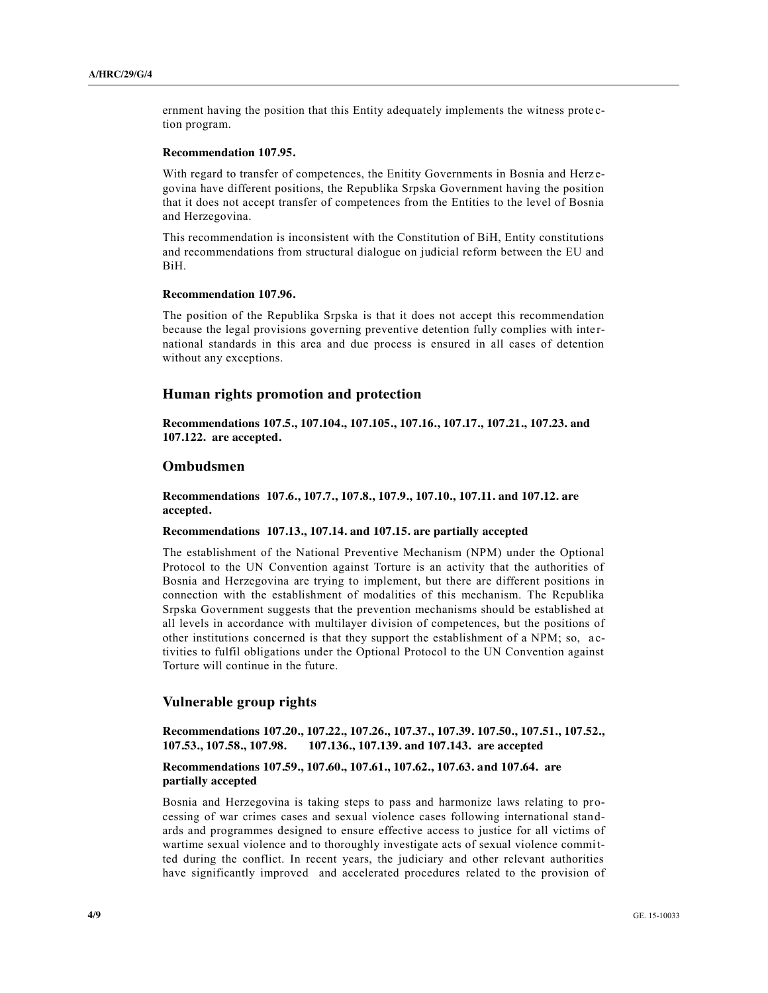ernment having the position that this Entity adequately implements the witness prote ction program.

#### **Recommendation 107.95.**

With regard to transfer of competences, the Enitity Governments in Bosnia and Herzegovina have different positions, the Republika Srpska Government having the position that it does not accept transfer of competences from the Entities to the level of Bosnia and Herzegovina.

This recommendation is inconsistent with the Constitution of BiH, Entity constitutions and recommendations from structural dialogue on judicial reform between the EU and BiH.

#### **Recommendation 107.96.**

The position of the Republika Srpska is that it does not accept this recommendation because the legal provisions governing preventive detention fully complies with inte rnational standards in this area and due process is ensured in all cases of detention without any exceptions.

# **Human rights promotion and protection**

**Recommendations 107.5., 107.104., 107.105., 107.16., 107.17., 107.21., 107.23. and 107.122. are accepted.**

### **Ombudsmen**

**Recommendations 107.6., 107.7., 107.8., 107.9., 107.10., 107.11. and 107.12. are accepted.**

### **Recommendations 107.13., 107.14. and 107.15. are partially accepted**

The establishment of the National Preventive Mechanism (NPM) under the Optional Protocol to the UN Convention against Torture is an activity that the authorities of Bosnia and Herzegovina are trying to implement, but there are different positions in connection with the establishment of modalities of this mechanism. The Republika Srpska Government suggests that the prevention mechanisms should be established at all levels in accordance with multilayer division of competences, but the positions of other institutions concerned is that they support the establishment of a NPM; so, a ctivities to fulfil obligations under the Optional Protocol to the UN Convention against Torture will continue in the future.

### **Vulnerable group rights**

**Recommendations 107.20., 107.22., 107.26., 107.37., 107.39. 107.50., 107.51., 107.52., 107.53., 107.58., 107.98. 107.136., 107.139. and 107.143. are accepted**

### **Recommendations 107.59., 107.60., 107.61., 107.62., 107.63. and 107.64. are partially accepted**

Bosnia and Herzegovina is taking steps to pass and harmonize laws relating to processing of war crimes cases and sexual violence cases following international standards and programmes designed to ensure effective access to justice for all victims of wartime sexual violence and to thoroughly investigate acts of sexual violence committed during the conflict. In recent years, the judiciary and other relevant authorities have significantly improved and accelerated procedures related to the provision of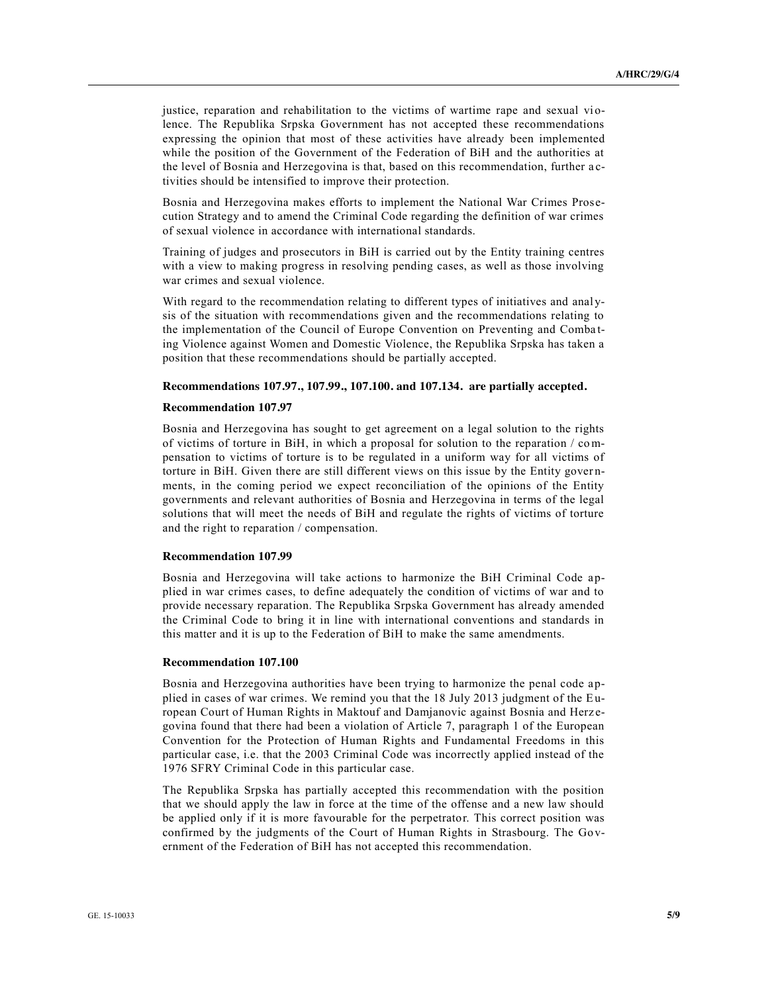justice, reparation and rehabilitation to the victims of wartime rape and sexual violence. The Republika Srpska Government has not accepted these recommendations expressing the opinion that most of these activities have already been implemented while the position of the Government of the Federation of BiH and the authorities at the level of Bosnia and Herzegovina is that, based on this recommendation, further a ctivities should be intensified to improve their protection.

Bosnia and Herzegovina makes efforts to implement the National War Crimes Prosecution Strategy and to amend the Criminal Code regarding the definition of war crimes of sexual violence in accordance with international standards.

Training of judges and prosecutors in BiH is carried out by the Entity training centres with a view to making progress in resolving pending cases, as well as those involving war crimes and sexual violence.

With regard to the recommendation relating to different types of initiatives and analysis of the situation with recommendations given and the recommendations relating to the implementation of the Council of Europe Convention on Preventing and Combating Violence against Women and Domestic Violence, the Republika Srpska has taken a position that these recommendations should be partially accepted.

### **Recommendations 107.97., 107.99., 107.100. and 107.134. are partially accepted.**

#### **Recommendation 107.97**

Bosnia and Herzegovina has sought to get agreement on a legal solution to the rights of victims of torture in BiH, in which a proposal for solution to the reparation / compensation to victims of torture is to be regulated in a uniform way for all victims of torture in BiH. Given there are still different views on this issue by the Entity gover nments, in the coming period we expect reconciliation of the opinions of the Entity governments and relevant authorities of Bosnia and Herzegovina in terms of the legal solutions that will meet the needs of BiH and regulate the rights of victims of torture and the right to reparation / compensation.

### **Recommendation 107.99**

Bosnia and Herzegovina will take actions to harmonize the BiH Criminal Code applied in war crimes cases, to define adequately the condition of victims of war and to provide necessary reparation. The Republika Srpska Government has already amended the Criminal Code to bring it in line with international conventions and standards in this matter and it is up to the Federation of BiH to make the same amendments.

#### **Recommendation 107.100**

Bosnia and Herzegovina authorities have been trying to harmonize the penal code applied in cases of war crimes. We remind you that the 18 July 2013 judgment of the European Court of Human Rights in Maktouf and Damjanovic against Bosnia and Herz egovina found that there had been a violation of Article 7, paragraph 1 of the European Convention for the Protection of Human Rights and Fundamental Freedoms in this particular case, i.e. that the 2003 Criminal Code was incorrectly applied instead of the 1976 SFRY Criminal Code in this particular case.

The Republika Srpska has partially accepted this recommendation with the position that we should apply the law in force at the time of the offense and a new law should be applied only if it is more favourable for the perpetrator. This correct position was confirmed by the judgments of the Court of Human Rights in Strasbourg. The Go vernment of the Federation of BiH has not accepted this recommendation.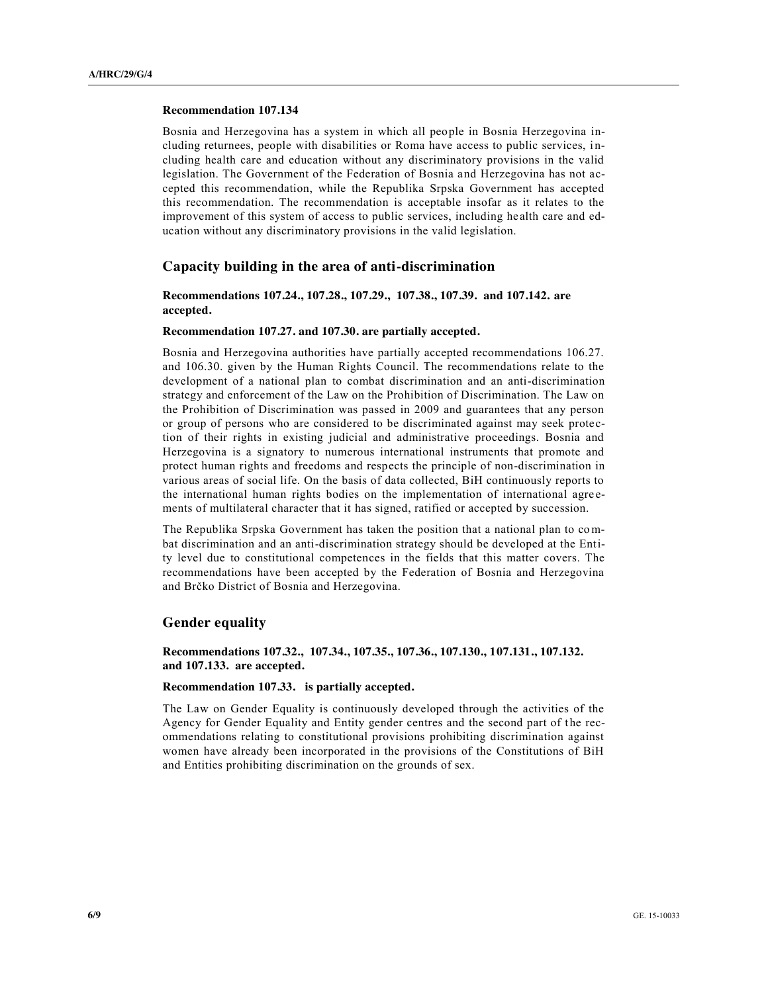#### **Recommendation 107.134**

Bosnia and Herzegovina has a system in which all people in Bosnia Herzegovina including returnees, people with disabilities or Roma have access to public services, i ncluding health care and education without any discriminatory provisions in the valid legislation. The Government of the Federation of Bosnia and Herzegovina has not accepted this recommendation, while the Republika Srpska Government has accepted this recommendation. The recommendation is acceptable insofar as it relates to the improvement of this system of access to public services, including he alth care and education without any discriminatory provisions in the valid legislation.

#### **Capacity building in the area of anti-discrimination**

### **Recommendations 107.24., 107.28., 107.29., 107.38., 107.39. and 107.142. are accepted.**

### **Recommendation 107.27. and 107.30. are partially accepted.**

Bosnia and Herzegovina authorities have partially accepted recommendations 106.27. and 106.30. given by the Human Rights Council. The recommendations relate to the development of a national plan to combat discrimination and an anti-discrimination strategy and enforcement of the Law on the Prohibition of Discrimination. The Law on the Prohibition of Discrimination was passed in 2009 and guarantees that any person or group of persons who are considered to be discriminated against may seek protection of their rights in existing judicial and administrative proceedings. Bosnia and Herzegovina is a signatory to numerous international instruments that promote and protect human rights and freedoms and respects the principle of non-discrimination in various areas of social life. On the basis of data collected, BiH continuously reports to the international human rights bodies on the implementation of international agre ements of multilateral character that it has signed, ratified or accepted by succession.

The Republika Srpska Government has taken the position that a national plan to combat discrimination and an anti-discrimination strategy should be developed at the Entity level due to constitutional competences in the fields that this matter covers. The recommendations have been accepted by the Federation of Bosnia and Herzegovina and Brčko District of Bosnia and Herzegovina.

#### **Gender equality**

**Recommendations 107.32., 107.34., 107.35., 107.36., 107.130., 107.131., 107.132. and 107.133. are accepted.**

#### **Recommendation 107.33. is partially accepted.**

The Law on Gender Equality is continuously developed through the activities of the Agency for Gender Equality and Entity gender centres and the second part of the recommendations relating to constitutional provisions prohibiting discrimination against women have already been incorporated in the provisions of the Constitutions of BiH and Entities prohibiting discrimination on the grounds of sex.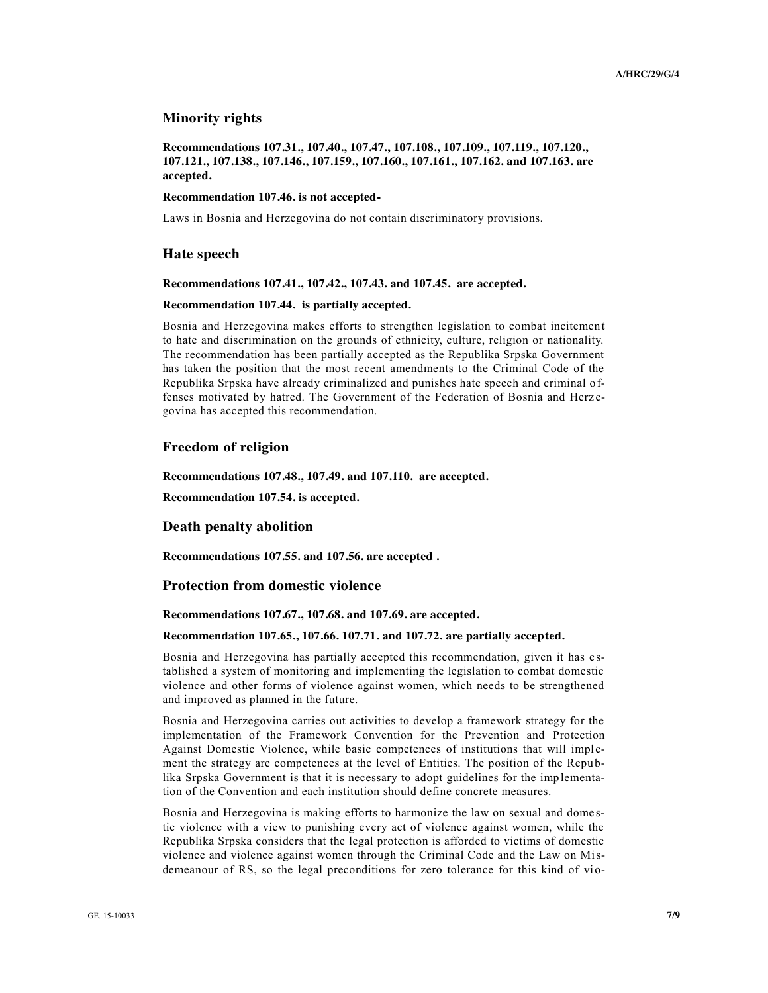# **Minority rights**

**Recommendations 107.31., 107.40., 107.47., 107.108., 107.109., 107.119., 107.120., 107.121., 107.138., 107.146., 107.159., 107.160., 107.161., 107.162. and 107.163. are accepted.**

#### **Recommendation 107.46. is not accepted-**

Laws in Bosnia and Herzegovina do not contain discriminatory provisions.

#### **Hate speech**

**Recommendations 107.41., 107.42., 107.43. and 107.45. are accepted.**

#### **Recommendation 107.44. is partially accepted.**

Bosnia and Herzegovina makes efforts to strengthen legislation to combat incitemen t to hate and discrimination on the grounds of ethnicity, culture, religion or nationality. The recommendation has been partially accepted as the Republika Srpska Government has taken the position that the most recent amendments to the Criminal Code of the Republika Srpska have already criminalized and punishes hate speech and criminal o ffenses motivated by hatred. The Government of the Federation of Bosnia and Herz egovina has accepted this recommendation.

### **Freedom of religion**

**Recommendations 107.48., 107.49. and 107.110. are accepted.**

**Recommendation 107.54. is accepted.**

### **Death penalty abolition**

**Recommendations 107.55. and 107.56. are accepted .**

### **Protection from domestic violence**

**Recommendations 107.67., 107.68. and 107.69. are accepted.**

### **Recommendation 107.65., 107.66. 107.71. and 107.72. are partially accepted.**

Bosnia and Herzegovina has partially accepted this recommendation, given it has e stablished a system of monitoring and implementing the legislation to combat domestic violence and other forms of violence against women, which needs to be strengthened and improved as planned in the future.

Bosnia and Herzegovina carries out activities to develop a framework strategy for the implementation of the Framework Convention for the Prevention and Protection Against Domestic Violence, while basic competences of institutions that will implement the strategy are competences at the level of Entities. The position of the Repu blika Srpska Government is that it is necessary to adopt guidelines for the imp lementation of the Convention and each institution should define concrete measures.

Bosnia and Herzegovina is making efforts to harmonize the law on sexual and dome stic violence with a view to punishing every act of violence against women, while the Republika Srpska considers that the legal protection is afforded to victims of domestic violence and violence against women through the Criminal Code and the Law on Misdemeanour of RS, so the legal preconditions for zero tolerance for this kind of vio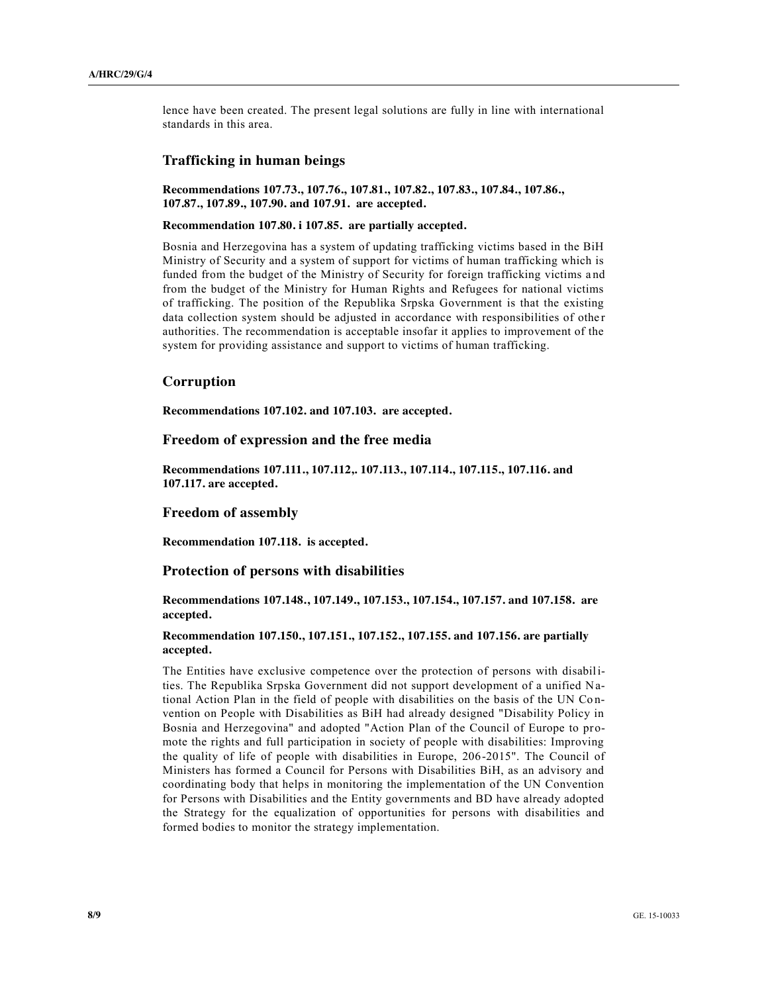lence have been created. The present legal solutions are fully in line with international standards in this area.

### **Trafficking in human beings**

**Recommendations 107.73., 107.76., 107.81., 107.82., 107.83., 107.84., 107.86., 107.87., 107.89., 107.90. and 107.91. are accepted.**

### **Recommendation 107.80. i 107.85. are partially accepted.**

Bosnia and Herzegovina has a system of updating trafficking victims based in the BiH Ministry of Security and a system of support for victims of human trafficking which is funded from the budget of the Ministry of Security for foreign trafficking victims a nd from the budget of the Ministry for Human Rights and Refugees for national victims of trafficking. The position of the Republika Srpska Government is that the existing data collection system should be adjusted in accordance with responsibilities of othe r authorities. The recommendation is acceptable insofar it applies to improvement of the system for providing assistance and support to victims of human trafficking.

# **Corruption**

**Recommendations 107.102. and 107.103. are accepted.**

# **Freedom of expression and the free media**

**Recommendations 107.111., 107.112,. 107.113., 107.114., 107.115., 107.116. and 107.117. are accepted.**

#### **Freedom of assembly**

**Recommendation 107.118. is accepted.**

# **Protection of persons with disabilities**

**Recommendations 107.148., 107.149., 107.153., 107.154., 107.157. and 107.158. are accepted.**

### **Recommendation 107.150., 107.151., 107.152., 107.155. and 107.156. are partially accepted.**

The Entities have exclusive competence over the protection of persons with disabilities. The Republika Srpska Government did not support development of a unified National Action Plan in the field of people with disabilities on the basis of the UN Convention on People with Disabilities as BiH had already designed "Disability Policy in Bosnia and Herzegovina" and adopted "Action Plan of the Council of Europe to promote the rights and full participation in society of people with disabilities: Improving the quality of life of people with disabilities in Europe, 206-2015". The Council of Ministers has formed a Council for Persons with Disabilities BiH, as an advisory and coordinating body that helps in monitoring the implementation of the UN Convention for Persons with Disabilities and the Entity governments and BD have already adopted the Strategy for the equalization of opportunities for persons with disabilities and formed bodies to monitor the strategy implementation.